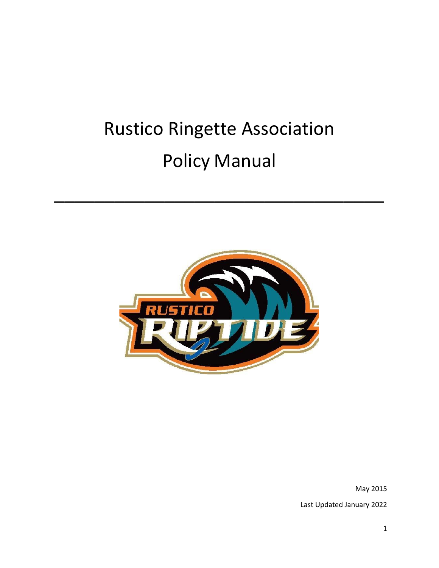# Rustico Ringette Association Policy Manual

\_\_\_\_\_\_\_\_\_\_\_\_\_\_\_\_\_\_\_\_\_\_\_\_\_\_\_\_\_\_\_\_\_



May 2015 Last Updated January 2022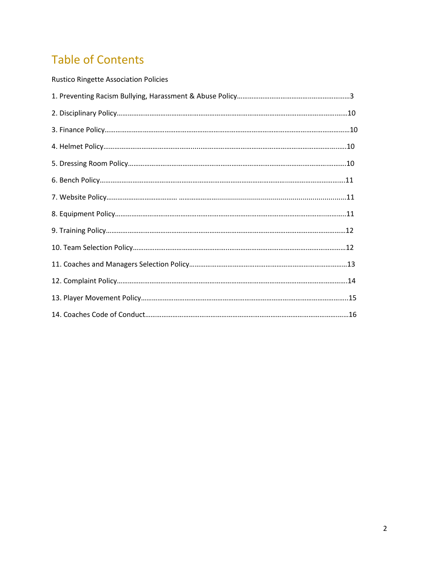# Table of Contents

| <b>Rustico Ringette Association Policies</b> |  |
|----------------------------------------------|--|
|                                              |  |
|                                              |  |
|                                              |  |
|                                              |  |
|                                              |  |
|                                              |  |
|                                              |  |
|                                              |  |
|                                              |  |
|                                              |  |
|                                              |  |
|                                              |  |
|                                              |  |
|                                              |  |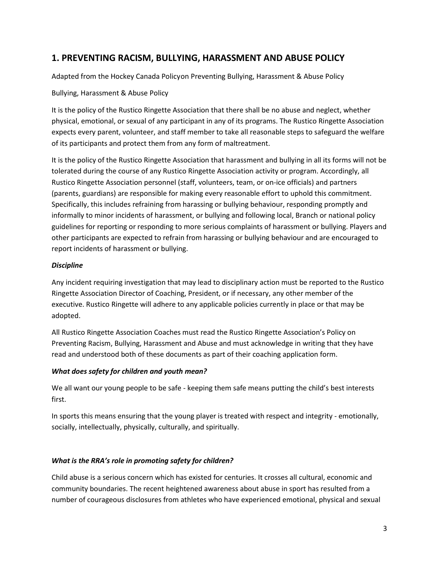# **1. PREVENTING RACISM, BULLYING, HARASSMENT AND ABUSE POLICY**

Adapted from the Hockey Canada Policyon Preventing Bullying, Harassment & Abuse Policy

#### Bullying, Harassment & Abuse Policy

It is the policy of the Rustico Ringette Association that there shall be no abuse and neglect, whether physical, emotional, or sexual of any participant in any of its programs. The Rustico Ringette Association expects every parent, volunteer, and staff member to take all reasonable steps to safeguard the welfare of its participants and protect them from any form of maltreatment.

It is the policy of the Rustico Ringette Association that harassment and bullying in all its forms will not be tolerated during the course of any Rustico Ringette Association activity or program. Accordingly, all Rustico Ringette Association personnel (staff, volunteers, team, or on-ice officials) and partners (parents, guardians) are responsible for making every reasonable effort to uphold this commitment. Specifically, this includes refraining from harassing or bullying behaviour, responding promptly and informally to minor incidents of harassment, or bullying and following local, Branch or national policy guidelines for reporting or responding to more serious complaints of harassment or bullying. Players and other participants are expected to refrain from harassing or bullying behaviour and are encouraged to report incidents of harassment or bullying.

#### *Discipline*

Any incident requiring investigation that may lead to disciplinary action must be reported to the Rustico Ringette Association Director of Coaching, President, or if necessary, any other member of the executive. Rustico Ringette will adhere to any applicable policies currently in place or that may be adopted.

All Rustico Ringette Association Coaches must read the Rustico Ringette Association's Policy on Preventing Racism, Bullying, Harassment and Abuse and must acknowledge in writing that they have read and understood both of these documents as part of their coaching application form.

#### *What does safety for children and youth mean?*

We all want our young people to be safe - keeping them safe means putting the child's best interests first.

In sports this means ensuring that the young player is treated with respect and integrity - emotionally, socially, intellectually, physically, culturally, and spiritually.

#### *What is the RRA's role in promoting safety for children?*

Child abuse is a serious concern which has existed for centuries. It crosses all cultural, economic and community boundaries. The recent heightened awareness about abuse in sport has resulted from a number of courageous disclosures from athletes who have experienced emotional, physical and sexual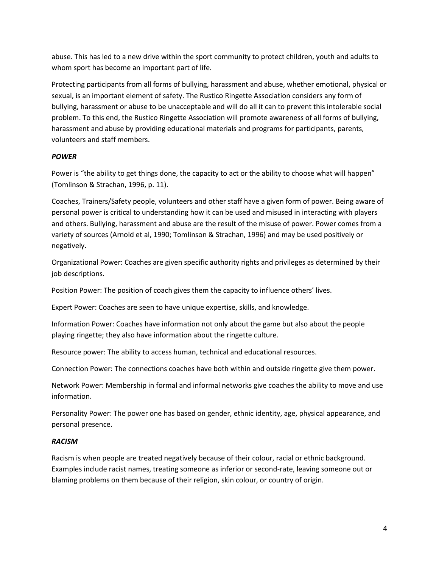abuse. This has led to a new drive within the sport community to protect children, youth and adults to whom sport has become an important part of life.

Protecting participants from all forms of bullying, harassment and abuse, whether emotional, physical or sexual, is an important element of safety. The Rustico Ringette Association considers any form of bullying, harassment or abuse to be unacceptable and will do all it can to prevent this intolerable social problem. To this end, the Rustico Ringette Association will promote awareness of all forms of bullying, harassment and abuse by providing educational materials and programs for participants, parents, volunteers and staff members.

#### *POWER*

Power is "the ability to get things done, the capacity to act or the ability to choose what will happen" (Tomlinson & Strachan, 1996, p. 11).

Coaches, Trainers/Safety people, volunteers and other staff have a given form of power. Being aware of personal power is critical to understanding how it can be used and misused in interacting with players and others. Bullying, harassment and abuse are the result of the misuse of power. Power comes from a variety of sources (Arnold et al, 1990; Tomlinson & Strachan, 1996) and may be used positively or negatively.

Organizational Power: Coaches are given specific authority rights and privileges as determined by their job descriptions.

Position Power: The position of coach gives them the capacity to influence others' lives.

Expert Power: Coaches are seen to have unique expertise, skills, and knowledge.

Information Power: Coaches have information not only about the game but also about the people playing ringette; they also have information about the ringette culture.

Resource power: The ability to access human, technical and educational resources.

Connection Power: The connections coaches have both within and outside ringette give them power.

Network Power: Membership in formal and informal networks give coaches the ability to move and use information.

Personality Power: The power one has based on gender, ethnic identity, age, physical appearance, and personal presence.

#### *RACISM*

Racism is when people are treated negatively because of their colour, racial or ethnic background. Examples include racist names, treating someone as inferior or second-rate, leaving someone out or blaming problems on them because of their religion, skin colour, or country of origin.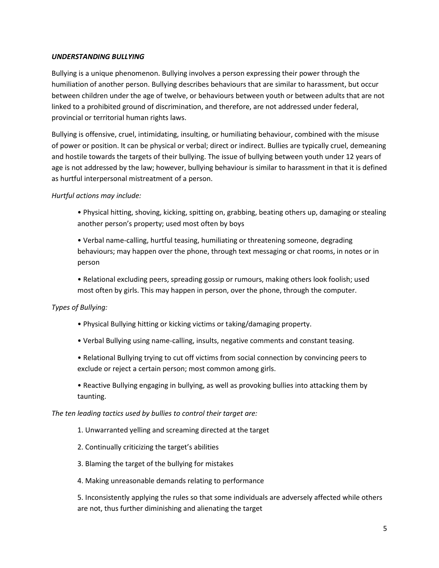#### *UNDERSTANDING BULLYING*

Bullying is a unique phenomenon. Bullying involves a person expressing their power through the humiliation of another person. Bullying describes behaviours that are similar to harassment, but occur between children under the age of twelve, or behaviours between youth or between adults that are not linked to a prohibited ground of discrimination, and therefore, are not addressed under federal, provincial or territorial human rights laws.

Bullying is offensive, cruel, intimidating, insulting, or humiliating behaviour, combined with the misuse of power or position. It can be physical or verbal; direct or indirect. Bullies are typically cruel, demeaning and hostile towards the targets of their bullying. The issue of bullying between youth under 12 years of age is not addressed by the law; however, bullying behaviour is similar to harassment in that it is defined as hurtful interpersonal mistreatment of a person.

#### *Hurtful actions may include:*

• Physical hitting, shoving, kicking, spitting on, grabbing, beating others up, damaging or stealing another person's property; used most often by boys

• Verbal name-calling, hurtful teasing, humiliating or threatening someone, degrading behaviours; may happen over the phone, through text messaging or chat rooms, in notes or in person

• Relational excluding peers, spreading gossip or rumours, making others look foolish; used most often by girls. This may happen in person, over the phone, through the computer.

#### *Types of Bullying:*

- Physical Bullying hitting or kicking victims or taking/damaging property.
- Verbal Bullying using name-calling, insults, negative comments and constant teasing.
- Relational Bullying trying to cut off victims from social connection by convincing peers to exclude or reject a certain person; most common among girls.

• Reactive Bullying engaging in bullying, as well as provoking bullies into attacking them by taunting.

*The ten leading tactics used by bullies to control their target are:*

- 1. Unwarranted yelling and screaming directed at the target
- 2. Continually criticizing the target's abilities
- 3. Blaming the target of the bullying for mistakes
- 4. Making unreasonable demands relating to performance

5. Inconsistently applying the rules so that some individuals are adversely affected while others are not, thus further diminishing and alienating the target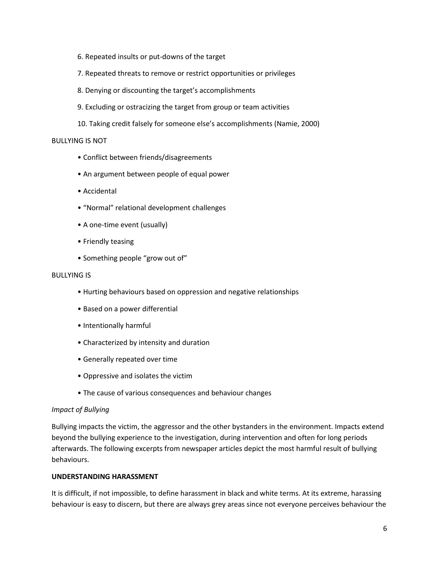- 6. Repeated insults or put-downs of the target
- 7. Repeated threats to remove or restrict opportunities or privileges
- 8. Denying or discounting the target's accomplishments
- 9. Excluding or ostracizing the target from group or team activities
- 10. Taking credit falsely for someone else's accomplishments (Namie, 2000)

#### BULLYING IS NOT

- Conflict between friends/disagreements
- An argument between people of equal power
- Accidental
- "Normal" relational development challenges
- A one-time event (usually)
- Friendly teasing
- Something people "grow out of"

#### BULLYING IS

- Hurting behaviours based on oppression and negative relationships
- Based on a power differential
- Intentionally harmful
- Characterized by intensity and duration
- Generally repeated over time
- Oppressive and isolates the victim
- The cause of various consequences and behaviour changes

#### *Impact of Bullying*

Bullying impacts the victim, the aggressor and the other bystanders in the environment. Impacts extend beyond the bullying experience to the investigation, during intervention and often for long periods afterwards. The following excerpts from newspaper articles depict the most harmful result of bullying behaviours.

#### **UNDERSTANDING HARASSMENT**

It is difficult, if not impossible, to define harassment in black and white terms. At its extreme, harassing behaviour is easy to discern, but there are always grey areas since not everyone perceives behaviour the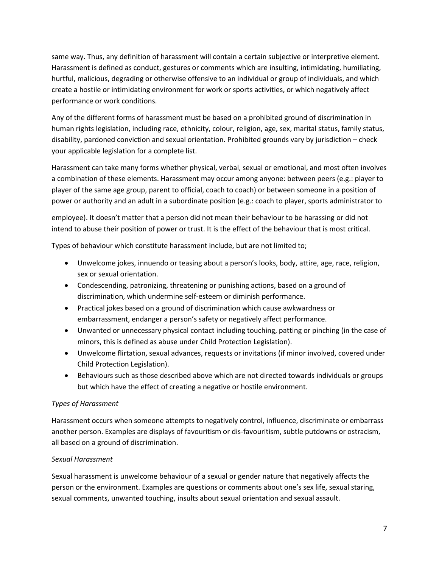same way. Thus, any definition of harassment will contain a certain subjective or interpretive element. Harassment is defined as conduct, gestures or comments which are insulting, intimidating, humiliating, hurtful, malicious, degrading or otherwise offensive to an individual or group of individuals, and which create a hostile or intimidating environment for work or sports activities, or which negatively affect performance or work conditions.

Any of the different forms of harassment must be based on a prohibited ground of discrimination in human rights legislation, including race, ethnicity, colour, religion, age, sex, marital status, family status, disability, pardoned conviction and sexual orientation. Prohibited grounds vary by jurisdiction – check your applicable legislation for a complete list.

Harassment can take many forms whether physical, verbal, sexual or emotional, and most often involves a combination of these elements. Harassment may occur among anyone: between peers (e.g.: player to player of the same age group, parent to official, coach to coach) or between someone in a position of power or authority and an adult in a subordinate position (e.g.: coach to player, sports administrator to

employee). It doesn't matter that a person did not mean their behaviour to be harassing or did not intend to abuse their position of power or trust. It is the effect of the behaviour that is most critical.

Types of behaviour which constitute harassment include, but are not limited to;

- Unwelcome jokes, innuendo or teasing about a person's looks, body, attire, age, race, religion, sex or sexual orientation.
- Condescending, patronizing, threatening or punishing actions, based on a ground of discrimination, which undermine self-esteem or diminish performance.
- Practical jokes based on a ground of discrimination which cause awkwardness or embarrassment, endanger a person's safety or negatively affect performance.
- Unwanted or unnecessary physical contact including touching, patting or pinching (in the case of minors, this is defined as abuse under Child Protection Legislation).
- Unwelcome flirtation, sexual advances, requests or invitations (if minor involved, covered under Child Protection Legislation).
- Behaviours such as those described above which are not directed towards individuals or groups but which have the effect of creating a negative or hostile environment.

#### *Types of Harassment*

Harassment occurs when someone attempts to negatively control, influence, discriminate or embarrass another person. Examples are displays of favouritism or dis-favouritism, subtle putdowns or ostracism, all based on a ground of discrimination.

#### *Sexual Harassment*

Sexual harassment is unwelcome behaviour of a sexual or gender nature that negatively affects the person or the environment. Examples are questions or comments about one's sex life, sexual staring, sexual comments, unwanted touching, insults about sexual orientation and sexual assault.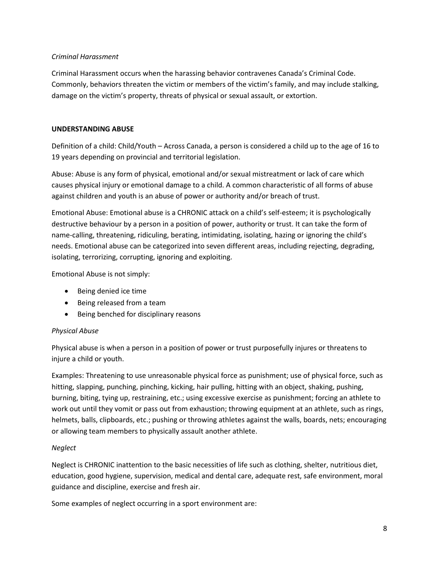#### *Criminal Harassment*

Criminal Harassment occurs when the harassing behavior contravenes Canada's Criminal Code. Commonly, behaviors threaten the victim or members of the victim's family, and may include stalking, damage on the victim's property, threats of physical or sexual assault, or extortion.

#### **UNDERSTANDING ABUSE**

Definition of a child: Child/Youth – Across Canada, a person is considered a child up to the age of 16 to 19 years depending on provincial and territorial legislation.

Abuse: Abuse is any form of physical, emotional and/or sexual mistreatment or lack of care which causes physical injury or emotional damage to a child. A common characteristic of all forms of abuse against children and youth is an abuse of power or authority and/or breach of trust.

Emotional Abuse: Emotional abuse is a CHRONIC attack on a child's self-esteem; it is psychologically destructive behaviour by a person in a position of power, authority or trust. It can take the form of name-calling, threatening, ridiculing, berating, intimidating, isolating, hazing or ignoring the child's needs. Emotional abuse can be categorized into seven different areas, including rejecting, degrading, isolating, terrorizing, corrupting, ignoring and exploiting.

Emotional Abuse is not simply:

- Being denied ice time
- Being released from a team
- Being benched for disciplinary reasons

#### *Physical Abuse*

Physical abuse is when a person in a position of power or trust purposefully injures or threatens to injure a child or youth.

Examples: Threatening to use unreasonable physical force as punishment; use of physical force, such as hitting, slapping, punching, pinching, kicking, hair pulling, hitting with an object, shaking, pushing, burning, biting, tying up, restraining, etc.; using excessive exercise as punishment; forcing an athlete to work out until they vomit or pass out from exhaustion; throwing equipment at an athlete, such as rings, helmets, balls, clipboards, etc.; pushing or throwing athletes against the walls, boards, nets; encouraging or allowing team members to physically assault another athlete.

#### *Neglect*

Neglect is CHRONIC inattention to the basic necessities of life such as clothing, shelter, nutritious diet, education, good hygiene, supervision, medical and dental care, adequate rest, safe environment, moral guidance and discipline, exercise and fresh air.

Some examples of neglect occurring in a sport environment are: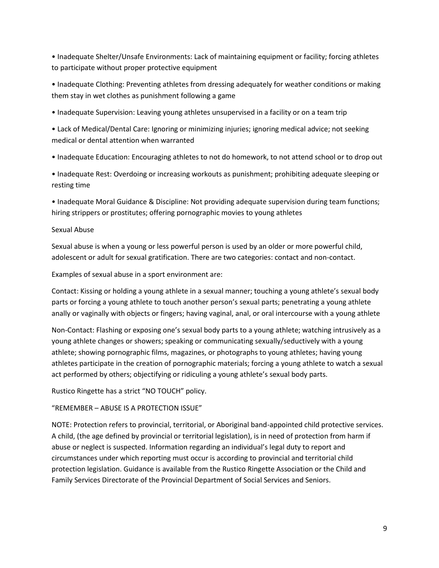• Inadequate Shelter/Unsafe Environments: Lack of maintaining equipment or facility; forcing athletes to participate without proper protective equipment

• Inadequate Clothing: Preventing athletes from dressing adequately for weather conditions or making them stay in wet clothes as punishment following a game

• Inadequate Supervision: Leaving young athletes unsupervised in a facility or on a team trip

• Lack of Medical/Dental Care: Ignoring or minimizing injuries; ignoring medical advice; not seeking medical or dental attention when warranted

• Inadequate Education: Encouraging athletes to not do homework, to not attend school or to drop out

• Inadequate Rest: Overdoing or increasing workouts as punishment; prohibiting adequate sleeping or resting time

• Inadequate Moral Guidance & Discipline: Not providing adequate supervision during team functions; hiring strippers or prostitutes; offering pornographic movies to young athletes

#### Sexual Abuse

Sexual abuse is when a young or less powerful person is used by an older or more powerful child, adolescent or adult for sexual gratification. There are two categories: contact and non-contact.

Examples of sexual abuse in a sport environment are:

Contact: Kissing or holding a young athlete in a sexual manner; touching a young athlete's sexual body parts or forcing a young athlete to touch another person's sexual parts; penetrating a young athlete anally or vaginally with objects or fingers; having vaginal, anal, or oral intercourse with a young athlete

Non-Contact: Flashing or exposing one's sexual body parts to a young athlete; watching intrusively as a young athlete changes or showers; speaking or communicating sexually/seductively with a young athlete; showing pornographic films, magazines, or photographs to young athletes; having young athletes participate in the creation of pornographic materials; forcing a young athlete to watch a sexual act performed by others; objectifying or ridiculing a young athlete's sexual body parts.

Rustico Ringette has a strict "NO TOUCH" policy.

#### "REMEMBER – ABUSE IS A PROTECTION ISSUE"

NOTE: Protection refers to provincial, territorial, or Aboriginal band-appointed child protective services. A child, (the age defined by provincial or territorial legislation), is in need of protection from harm if abuse or neglect is suspected. Information regarding an individual's legal duty to report and circumstances under which reporting must occur is according to provincial and territorial child protection legislation. Guidance is available from the Rustico Ringette Association or the Child and Family Services Directorate of the Provincial Department of Social Services and Seniors.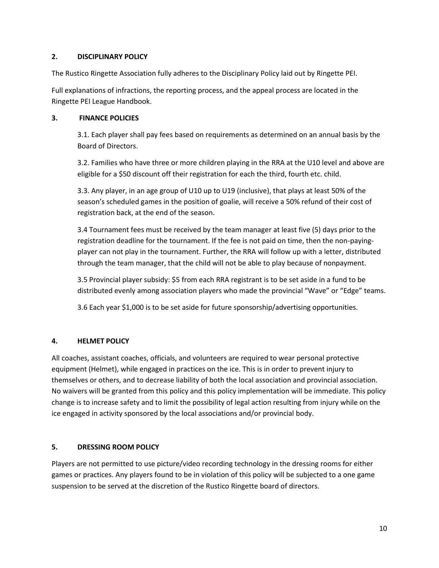#### **2. DISCIPLINARY POLICY**

The Rustico Ringette Association fully adheres to the Disciplinary Policy laid out by Ringette PEI.

Full explanations of infractions, the reporting process, and the appeal process are located in the Ringette PEI League Handbook.

#### **3. FINANCE POLICIES**

3.1. Each player shall pay fees based on requirements as determined on an annual basis by the Board of Directors.

3.2. Families who have three or more children playing in the RRA at the U10 level and above are eligible for a \$50 discount off their registration for each the third, fourth etc. child.

3.3. Any player, in an age group of U10 up to U19 (inclusive), that plays at least 50% of the season's scheduled games in the position of goalie, will receive a 50% refund of their cost of registration back, at the end of the season.

3.4 Tournament fees must be received by the team manager at least five (5) days prior to the registration deadline for the tournament. If the fee is not paid on time, then the non-payingplayer can not play in the tournament. Further, the RRA will follow up with a letter, distributed through the team manager, that the child will not be able to play because of nonpayment.

3.5 Provincial player subsidy: \$5 from each RRA registrant is to be set aside in a fund to be distributed evenly among association players who made the provincial "Wave" or "Edge" teams.

3.6 Each year \$1,000 is to be set aside for future sponsorship/advertising opportunities.

#### **4. HELMET POLICY**

All coaches, assistant coaches, officials, and volunteers are required to wear personal protective equipment (Helmet), while engaged in practices on the ice. This is in order to prevent injury to themselves or others, and to decrease liability of both the local association and provincial association. No waivers will be granted from this policy and this policy implementation will be immediate. This policy change is to increase safety and to limit the possibility of legal action resulting from injury while on the ice engaged in activity sponsored by the local associations and/or provincial body.

#### **5. DRESSING ROOM POLICY**

Players are not permitted to use picture/video recording technology in the dressing rooms for either games or practices. Any players found to be in violation of this policy will be subjected to a one game suspension to be served at the discretion of the Rustico Ringette board of directors.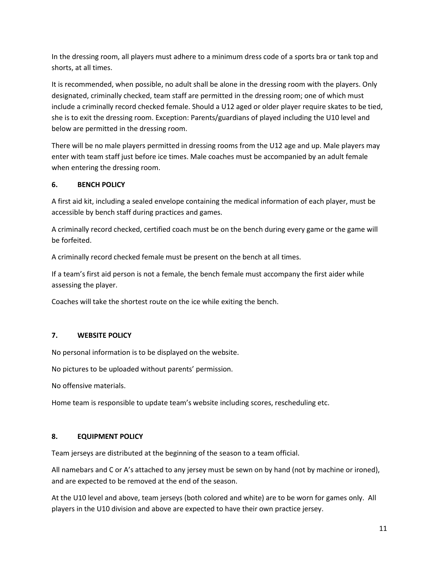In the dressing room, all players must adhere to a minimum dress code of a sports bra or tank top and shorts, at all times.

It is recommended, when possible, no adult shall be alone in the dressing room with the players. Only designated, criminally checked, team staff are permitted in the dressing room; one of which must include a criminally record checked female. Should a U12 aged or older player require skates to be tied, she is to exit the dressing room. Exception: Parents/guardians of played including the U10 level and below are permitted in the dressing room.

There will be no male players permitted in dressing rooms from the U12 age and up. Male players may enter with team staff just before ice times. Male coaches must be accompanied by an adult female when entering the dressing room.

#### **6. BENCH POLICY**

A first aid kit, including a sealed envelope containing the medical information of each player, must be accessible by bench staff during practices and games.

A criminally record checked, certified coach must be on the bench during every game or the game will be forfeited.

A criminally record checked female must be present on the bench at all times.

If a team's first aid person is not a female, the bench female must accompany the first aider while assessing the player.

Coaches will take the shortest route on the ice while exiting the bench.

## **7. WEBSITE POLICY**

No personal information is to be displayed on the website.

No pictures to be uploaded without parents' permission.

No offensive materials.

Home team is responsible to update team's website including scores, rescheduling etc.

#### **8. EQUIPMENT POLICY**

Team jerseys are distributed at the beginning of the season to a team official.

All namebars and C or A's attached to any jersey must be sewn on by hand (not by machine or ironed), and are expected to be removed at the end of the season.

At the U10 level and above, team jerseys (both colored and white) are to be worn for games only. All players in the U10 division and above are expected to have their own practice jersey.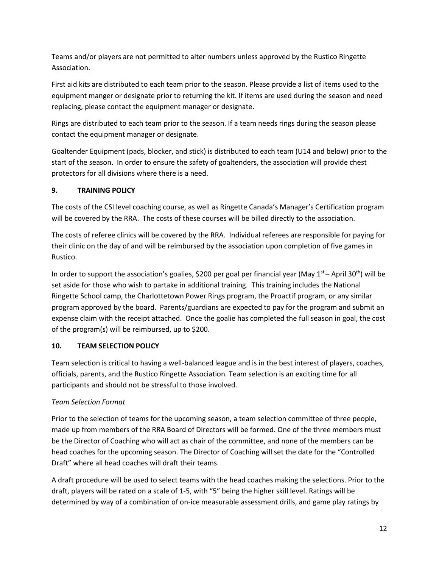Teams and/or players are not permitted to alter numbers unless approved by the Rustico Ringette Association.

First aid kits are distributed to each team prior to the season. Please provide a list of items used to the equipment manger or designate prior to returning the kit. If items are used during the season and need replacing, please contact the equipment manager or designate.

Rings are distributed to each team prior to the season. If a team needs rings during the season please contact the equipment manager or designate.

Goaltender Equipment (pads, blocker, and stick) is distributed to each team (U14 and below) prior to the start of the season. In order to ensure the safety of goaltenders, the association will provide chest protectors for all divisions where there is a need.

## **9. TRAINING POLICY**

The costs of the CSI level coaching course, as well as Ringette Canada's Manager's Certification program will be covered by the RRA. The costs of these courses will be billed directly to the association.

The costs of referee clinics will be covered by the RRA. Individual referees are responsible for paying for their clinic on the day of and will be reimbursed by the association upon completion of five games in Rustico.

In order to support the association's goalies, \$200 per goal per financial year (May  $1<sup>st</sup>$  – April 30<sup>th</sup>) will be set aside for those who wish to partake in additional training. This training includes the National Ringette School camp, the Charlottetown Power Rings program, the Proactif program, or any similar program approved by the board. Parents/guardians are expected to pay for the program and submit an expense claim with the receipt attached. Once the goalie has completed the full season in goal, the cost of the program(s) will be reimbursed, up to \$200.

## **10. TEAM SELECTION POLICY**

Team selection is critical to having a well-balanced league and is in the best interest of players, coaches, officials, parents, and the Rustico Ringette Association. Team selection is an exciting time for all participants and should not be stressful to those involved.

# *Team Selection Format*

Prior to the selection of teams for the upcoming season, a team selection committee of three people, made up from members of the RRA Board of Directors will be formed. One of the three members must be the Director of Coaching who will act as chair of the committee, and none of the members can be head coaches for the upcoming season. The Director of Coaching will set the date for the "Controlled Draft" where all head coaches will draft their teams.

A draft procedure will be used to select teams with the head coaches making the selections. Prior to the draft, players will be rated on a scale of 1-5, with "5" being the higher skill level. Ratings will be determined by way of a combination of on-ice measurable assessment drills, and game play ratings by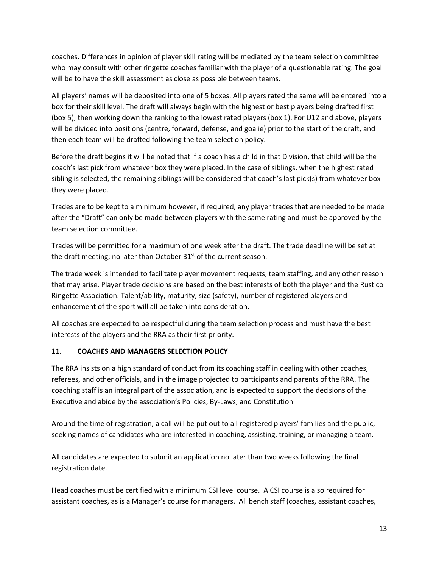coaches. Differences in opinion of player skill rating will be mediated by the team selection committee who may consult with other ringette coaches familiar with the player of a questionable rating. The goal will be to have the skill assessment as close as possible between teams.

All players' names will be deposited into one of 5 boxes. All players rated the same will be entered into a box for their skill level. The draft will always begin with the highest or best players being drafted first (box 5), then working down the ranking to the lowest rated players (box 1). For U12 and above, players will be divided into positions (centre, forward, defense, and goalie) prior to the start of the draft, and then each team will be drafted following the team selection policy.

Before the draft begins it will be noted that if a coach has a child in that Division, that child will be the coach's last pick from whatever box they were placed. In the case of siblings, when the highest rated sibling is selected, the remaining siblings will be considered that coach's last pick(s) from whatever box they were placed.

Trades are to be kept to a minimum however, if required, any player trades that are needed to be made after the "Draft" can only be made between players with the same rating and must be approved by the team selection committee.

Trades will be permitted for a maximum of one week after the draft. The trade deadline will be set at the draft meeting; no later than October  $31<sup>st</sup>$  of the current season.

The trade week is intended to facilitate player movement requests, team staffing, and any other reason that may arise. Player trade decisions are based on the best interests of both the player and the Rustico Ringette Association. Talent/ability, maturity, size (safety), number of registered players and enhancement of the sport will all be taken into consideration.

All coaches are expected to be respectful during the team selection process and must have the best interests of the players and the RRA as their first priority.

#### **11. COACHES AND MANAGERS SELECTION POLICY**

The RRA insists on a high standard of conduct from its coaching staff in dealing with other coaches, referees, and other officials, and in the image projected to participants and parents of the RRA. The coaching staff is an integral part of the association, and is expected to support the decisions of the Executive and abide by the association's Policies, By-Laws, and Constitution

Around the time of registration, a call will be put out to all registered players' families and the public, seeking names of candidates who are interested in coaching, assisting, training, or managing a team.

All candidates are expected to submit an application no later than two weeks following the final registration date.

Head coaches must be certified with a minimum CSI level course. A CSI course is also required for assistant coaches, as is a Manager's course for managers. All bench staff (coaches, assistant coaches,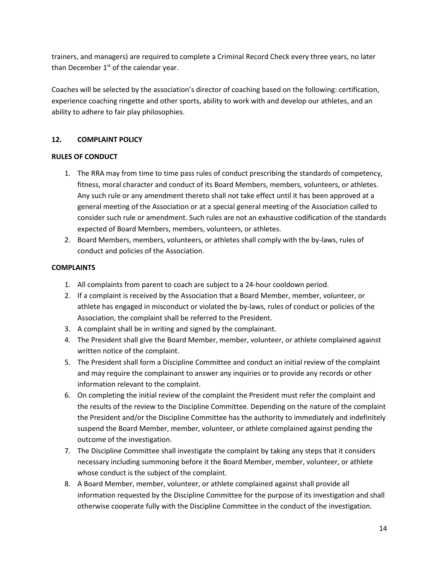trainers, and managers) are required to complete a Criminal Record Check every three years, no later than December  $1<sup>st</sup>$  of the calendar year.

Coaches will be selected by the association's director of coaching based on the following: certification, experience coaching ringette and other sports, ability to work with and develop our athletes, and an ability to adhere to fair play philosophies.

#### **12. COMPLAINT POLICY**

#### **RULES OF CONDUCT**

- 1. The RRA may from time to time pass rules of conduct prescribing the standards of competency, fitness, moral character and conduct of its Board Members, members, volunteers, or athletes. Any such rule or any amendment thereto shall not take effect until it has been approved at a general meeting of the Association or at a special general meeting of the Association called to consider such rule or amendment. Such rules are not an exhaustive codification of the standards expected of Board Members, members, volunteers, or athletes.
- 2. Board Members, members, volunteers, or athletes shall comply with the by-laws, rules of conduct and policies of the Association.

#### **COMPLAINTS**

- 1. All complaints from parent to coach are subject to a 24-hour cooldown period.
- 2. If a complaint is received by the Association that a Board Member, member, volunteer, or athlete has engaged in misconduct or violated the by-laws, rules of conduct or policies of the Association, the complaint shall be referred to the President.
- 3. A complaint shall be in writing and signed by the complainant.
- 4. The President shall give the Board Member, member, volunteer, or athlete complained against written notice of the complaint.
- 5. The President shall form a Discipline Committee and conduct an initial review of the complaint and may require the complainant to answer any inquiries or to provide any records or other information relevant to the complaint.
- 6. On completing the initial review of the complaint the President must refer the complaint and the results of the review to the Discipline Committee. Depending on the nature of the complaint the President and/or the Discipline Committee has the authority to immediately and indefinitely suspend the Board Member, member, volunteer, or athlete complained against pending the outcome of the investigation.
- 7. The Discipline Committee shall investigate the complaint by taking any steps that it considers necessary including summoning before it the Board Member, member, volunteer, or athlete whose conduct is the subject of the complaint.
- 8. A Board Member, member, volunteer, or athlete complained against shall provide all information requested by the Discipline Committee for the purpose of its investigation and shall otherwise cooperate fully with the Discipline Committee in the conduct of the investigation.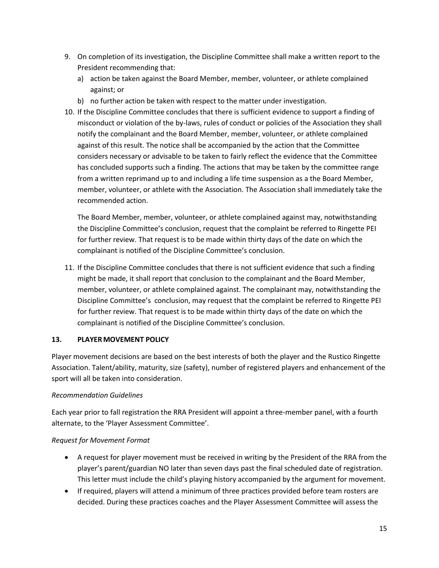- 9. On completion of its investigation, the Discipline Committee shall make a written report to the President recommending that:
	- a) action be taken against the Board Member, member, volunteer, or athlete complained against; or
	- b) no further action be taken with respect to the matter under investigation.
- 10. If the Discipline Committee concludes that there is sufficient evidence to support a finding of misconduct or violation of the by-laws, rules of conduct or policies of the Association they shall notify the complainant and the Board Member, member, volunteer, or athlete complained against of this result. The notice shall be accompanied by the action that the Committee considers necessary or advisable to be taken to fairly reflect the evidence that the Committee has concluded supports such a finding. The actions that may be taken by the committee range from a written reprimand up to and including a life time suspension as a the Board Member, member, volunteer, or athlete with the Association. The Association shall immediately take the recommended action.

The Board Member, member, volunteer, or athlete complained against may, notwithstanding the Discipline Committee's conclusion, request that the complaint be referred to Ringette PEI for further review. That request is to be made within thirty days of the date on which the complainant is notified of the Discipline Committee's conclusion.

11. If the Discipline Committee concludes that there is not sufficient evidence that such a finding might be made, it shall report that conclusion to the complainant and the Board Member, member, volunteer, or athlete complained against. The complainant may, notwithstanding the Discipline Committee's conclusion, may request that the complaint be referred to Ringette PEI for further review. That request is to be made within thirty days of the date on which the complainant is notified of the Discipline Committee's conclusion.

#### **13. PLAYERMOVEMENT POLICY**

Player movement decisions are based on the best interests of both the player and the Rustico Ringette Association. Talent/ability, maturity, size (safety), number of registered players and enhancement of the sport will all be taken into consideration.

#### *Recommendation Guidelines*

Each year prior to fall registration the RRA President will appoint a three-member panel, with a fourth alternate, to the 'Player Assessment Committee'.

#### *Request for Movement Format*

- A request for player movement must be received in writing by the President of the RRA from the player's parent/guardian NO later than seven days past the final scheduled date of registration. This letter must include the child's playing history accompanied by the argument for movement.
- If required, players will attend a minimum of three practices provided before team rosters are decided. During these practices coaches and the Player Assessment Committee will assess the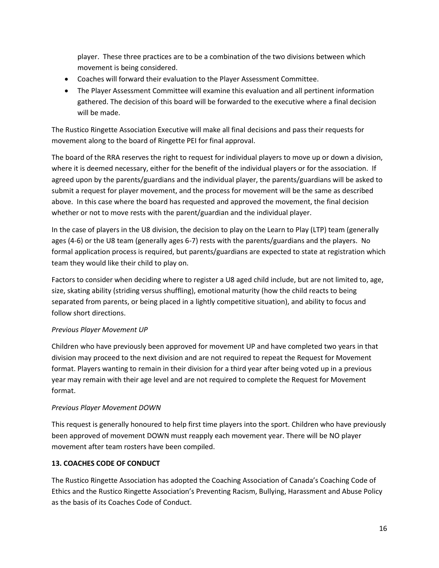player. These three practices are to be a combination of the two divisions between which movement is being considered.

- Coaches will forward their evaluation to the Player Assessment Committee.
- The Player Assessment Committee will examine this evaluation and all pertinent information gathered. The decision of this board will be forwarded to the executive where a final decision will be made.

The Rustico Ringette Association Executive will make all final decisions and pass their requests for movement along to the board of Ringette PEI for final approval.

The board of the RRA reserves the right to request for individual players to move up or down a division, where it is deemed necessary, either for the benefit of the individual players or for the association. If agreed upon by the parents/guardians and the individual player, the parents/guardians will be asked to submit a request for player movement, and the process for movement will be the same as described above. In this case where the board has requested and approved the movement, the final decision whether or not to move rests with the parent/guardian and the individual player.

In the case of players in the U8 division, the decision to play on the Learn to Play (LTP) team (generally ages (4-6) or the U8 team (generally ages 6-7) rests with the parents/guardians and the players. No formal application process is required, but parents/guardians are expected to state at registration which team they would like their child to play on.

Factors to consider when deciding where to register a U8 aged child include, but are not limited to, age, size, skating ability (striding versus shuffling), emotional maturity (how the child reacts to being separated from parents, or being placed in a lightly competitive situation), and ability to focus and follow short directions.

#### *Previous Player Movement UP*

Children who have previously been approved for movement UP and have completed two years in that division may proceed to the next division and are not required to repeat the Request for Movement format. Players wanting to remain in their division for a third year after being voted up in a previous year may remain with their age level and are not required to complete the Request for Movement format.

#### *Previous Player Movement DOWN*

This request is generally honoured to help first time players into the sport. Children who have previously been approved of movement DOWN must reapply each movement year. There will be NO player movement after team rosters have been compiled.

#### **13. COACHES CODE OF CONDUCT**

The Rustico Ringette Association has adopted the Coaching Association of Canada's Coaching Code of Ethics and the Rustico Ringette Association's Preventing Racism, Bullying, Harassment and Abuse Policy as the basis of its Coaches Code of Conduct.